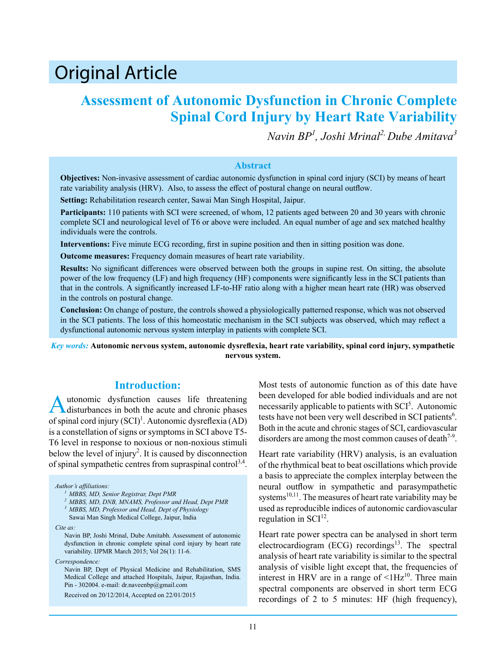# Original Article

# **Assessment of Autonomic Dysfunction in Chronic Complete Spinal Cord Injury by Heart Rate Variability**

*Navin BP<sup>1</sup> , Joshi Mrinal2, Dube Amitava<sup>3</sup>*

#### **Abstract**

**Objectives:** Non-invasive assessment of cardiac autonomic dysfunction in spinal cord injury (SCI) by means of heart rate variability analysis (HRV). Also, to assess the effect of postural change on neural outflow.

**Setting:** Rehabilitation research center, Sawai Man Singh Hospital, Jaipur.

**Participants:** 110 patients with SCI were screened, of whom, 12 patients aged between 20 and 30 years with chronic complete SCI and neurological level of T6 or above were included. An equal number of age and sex matched healthy individuals were the controls.

**Interventions:** Five minute ECG recording, first in supine position and then in sitting position was done.

**Outcome measures:** Frequency domain measures of heart rate variability.

**Results:** No significant differences were observed between both the groups in supine rest. On sitting, the absolute power of the low frequency (LF) and high frequency (HF) components were significantly less in the SCI patients than that in the controls. A significantly increased LF-to-HF ratio along with a higher mean heart rate (HR) was observed in the controls on postural change.

**Conclusion:** On change of posture, the controls showed a physiologically patterned response, which was not observed in the SCI patients. The loss of this homeostatic mechanism in the SCI subjects was observed, which may reflect a dysfunctional autonomic nervous system interplay in patients with complete SCI.

*Key words:* **Autonomic nervous system, autonomic dysreflexia, heart rate variability, spinal cord injury, sympathetic nervous system.**

### **Introduction:**

Autonomic dysfunction causes life threatening<br>disturbances in both the acute and chronic phases of spinal cord injury  $(SCI)^1$ . Autonomic dysreflexia  $(AD)$ is a constellation of signs or symptoms in SCI above T5- T6 level in response to noxious or non-noxious stimuli below the level of injury<sup>2</sup>. It is caused by disconnection of spinal sympathetic centres from supraspinal control<sup>3,4</sup>.

*Author's affiliations:*

*Cite as:*

*Correspondence:*

Navin BP, Dept of Physical Medicine and Rehabilitation, SMS Medical College and attached Hospitals, Jaipur, Rajasthan, India. Pin - 302004. e-mail: dr.naveenbp@gmail.com

Received on 20/12/2014, Accepted on 22/01/2015

Most tests of autonomic function as of this date have been developed for able bodied individuals and are not necessarily applicable to patients with SCI<sup>5</sup>. Autonomic tests have not been very well described in SCI patients<sup>6</sup>. Both in the acute and chronic stages of SCI, cardiovascular disorders are among the most common causes of death<sup> $7-9$ </sup>.

Heart rate variability (HRV) analysis, is an evaluation of the rhythmical beat to beat oscillations which provide a basis to appreciate the complex interplay between the neural outflow in sympathetic and parasympathetic systems<sup>10,11</sup>. The measures of heart rate variability may be used as reproducible indices of autonomic cardiovascular regulation in  $SCI<sup>12</sup>$ .

Heart rate power spectra can be analysed in short term electrocardiogram (ECG) recordings<sup>13</sup>. The spectral analysis of heart rate variability is similar to the spectral analysis of visible light except that, the frequencies of interest in HRV are in a range of  $\leq 1$ Hz<sup>10</sup>. Three main spectral components are observed in short term ECG recordings of 2 to 5 minutes: HF (high frequency),

*<sup>1</sup> MBBS, MD, Senior Registrar, Dept PMR*

*<sup>2</sup> MBBS, MD, DNB, MNAMS, Professor and Head, Dept PMR*

*<sup>3</sup> MBBS, MD, Professor and Head, Dept of Physiology*

Sawai Man Singh Medical College, Jaipur, India

Navin BP, Joshi Mrinal, Dube Amitabh. Assessment of autonomic dysfunction in chronic complete spinal cord injury by heart rate variability. IJPMR March 2015; Vol 26(1): 11-6.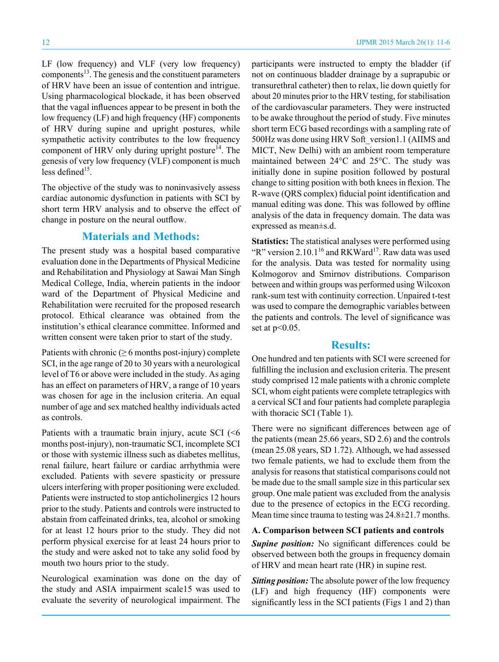LF (low frequency) and VLF (very low frequency) components $13$ . The genesis and the constituent parameters of HRV have been an issue of contention and intrigue. Using pharmacological blockade, it has been observed that the vagal influences appear to be present in both the low frequency (LF) and high frequency (HF) components of HRV during supine and upright postures, while sympathetic activity contributes to the low frequency component of HRV only during upright posture $^{14}$ . The genesis of very low frequency (VLF) component is much less defined $15$ .

The objective of the study was to noninvasively assess cardiac autonomic dysfunction in patients with SCI by short term HRV analysis and to observe the effect of change in posture on the neural outflow.

# **Materials and Methods:**

The present study was a hospital based comparative evaluation done in the Departments of Physical Medicine and Rehabilitation and Physiology at Sawai Man Singh Medical College, India, wherein patients in the indoor ward of the Department of Physical Medicine and Rehabilitation were recruited for the proposed research protocol. Ethical clearance was obtained from the institution's ethical clearance committee. Informed and written consent were taken prior to start of the study.

Patients with chronic ( $\geq 6$  months post-injury) complete SCI, in the age range of 20 to 30 years with a neurological level of T6 or above were included in the study. As aging has an effect on parameters of HRV, a range of 10 years was chosen for age in the inclusion criteria. An equal number of age and sex matched healthy individuals acted as controls.

Patients with a traumatic brain injury, acute SCI  $(66)$ months post-injury), non-traumatic SCI, incomplete SCI or those with systemic illness such as diabetes mellitus, renal failure, heart failure or cardiac arrhythmia were excluded. Patients with severe spasticity or pressure ulcers interfering with proper positioning were excluded. Patients were instructed to stop anticholinergics 12 hours prior to the study. Patients and controls were instructed to abstain from caffeinated drinks, tea, alcohol or smoking for at least 12 hours prior to the study. They did not perform physical exercise for at least 24 hours prior to the study and were asked not to take any solid food by mouth two hours prior to the study.

Neurological examination was done on the day of the study and ASIA impairment scale15 was used to evaluate the severity of neurological impairment. The

participants were instructed to empty the bladder (if not on continuous bladder drainage by a suprapubic or transurethral catheter) then to relax, lie down quietly for about 20 minutes prior to the HRV testing, for stabilisation of the cardiovascular parameters. They were instructed to be awake throughout the period of study. Five minutes short term ECG based recordings with a sampling rate of 500Hz was done using HRV Soft\_version1.1 (AIIMS and MICT, New Delhi) with an ambient room temperature maintained between 24°C and 25°C. The study was initially done in supine position followed by postural change to sitting position with both knees in flexion. The R-wave (QRS complex) fiducial point identification and manual editing was done. This was followed by offline analysis of the data in frequency domain. The data was expressed as mean±s.d.

**Statistics:** The statistical analyses were performed using "R" version 2.10.1<sup>16</sup> and RKWard<sup>17</sup>. Raw data was used for the analysis. Data was tested for normality using Kolmogorov and Smirnov distributions. Comparison between and within groups was performed using Wilcoxon rank-sum test with continuity correction. Unpaired t-test was used to compare the demographic variables between the patients and controls. The level of significance was set at  $p<0.05$ .

## **Results:**

One hundred and ten patients with SCI were screened for fulfilling the inclusion and exclusion criteria. The present study comprised 12 male patients with a chronic complete SCI, whom eight patients were complete tetraplegics with a cervical SCI and four patients had complete paraplegia with thoracic SCI (Table 1).

There were no significant differences between age of the patients (mean 25.66 years, SD 2.6) and the controls (mean 25.08 years, SD 1.72). Although, we had assessed two female patients, we had to exclude them from the analysis for reasons that statistical comparisons could not be made due to the small sample size in this particular sex group. One male patient was excluded from the analysis due to the presence of ectopics in the ECG recording. Mean time since trauma to testing was 24.8±21.7 months.

#### **A. Comparison between SCI patients and controls**

*Supine position:* No significant differences could be observed between both the groups in frequency domain of HRV and mean heart rate (HR) in supine rest.

*Sitting position:* The absolute power of the low frequency (LF) and high frequency (HF) components were significantly less in the SCI patients (Figs 1 and 2) than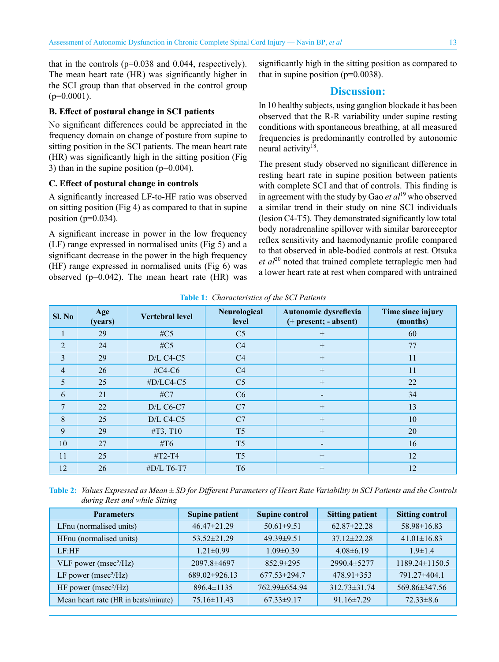that in the controls  $(p=0.038$  and 0.044, respectively). The mean heart rate (HR) was significantly higher in the SCI group than that observed in the control group  $(p=0.0001)$ .

#### **B. Effect of postural change in SCI patients**

No significant differences could be appreciated in the frequency domain on change of posture from supine to sitting position in the SCI patients. The mean heart rate (HR) was significantly high in the sitting position (Fig 3) than in the supine position  $(p=0.004)$ .

#### **C. Effect of postural change in controls**

A significantly increased LF-to-HF ratio was observed on sitting position (Fig 4) as compared to that in supine position ( $p=0.034$ ).

A significant increase in power in the low frequency (LF) range expressed in normalised units (Fig 5) and a significant decrease in the power in the high frequency (HF) range expressed in normalised units (Fig 6) was observed ( $p=0.042$ ). The mean heart rate (HR) was significantly high in the sitting position as compared to that in supine position  $(p=0.0038)$ .

#### **Discussion:**

In 10 healthy subjects, using ganglion blockade it has been observed that the R-R variability under supine resting conditions with spontaneous breathing, at all measured frequencies is predominantly controlled by autonomic neural activity<sup>18</sup>.

The present study observed no significant difference in resting heart rate in supine position between patients with complete SCI and that of controls. This finding is in agreement with the study by Gao *et al*19 who observed a similar trend in their study on nine SCI individuals (lesion C4-T5). They demonstrated significantly low total body noradrenaline spillover with similar baroreceptor reflex sensitivity and haemodynamic profile compared to that observed in able-bodied controls at rest. Otsuka et al<sup>20</sup> noted that trained complete tetraplegic men had a lower heart rate at rest when compared with untrained

| Sl. No         | Age<br>(years) | <b>Vertebral level</b> | Neurological<br>level | Autonomic dysreflexia<br>(+ present; - absent) | Time since injury<br>(months) |  |  |
|----------------|----------------|------------------------|-----------------------|------------------------------------------------|-------------------------------|--|--|
| 1              | 29             | #C5                    | C <sub>5</sub>        | $^{+}$                                         | 60                            |  |  |
| $\overline{2}$ | 24             | # $C5$                 | C4                    | $+$                                            | 77                            |  |  |
| 3              | 29             | $D/L$ C4-C5            | C4                    | $+$                                            | 11                            |  |  |
| $\overline{4}$ | 26             | #C4-C6                 | C4                    | $+$                                            | 11                            |  |  |
| 5              | 25             | #D/LC4-C5              | C <sub>5</sub>        | $+$                                            | 22                            |  |  |
| 6              | 21             | $\#C7$                 | C6                    |                                                | 34                            |  |  |
| 7              | 22             | $D/L$ C6-C7            | C7                    | $+$                                            | 13                            |  |  |
| 8              | 25             | $D/L$ C4-C5            | C7                    | $+$                                            | 10                            |  |  |
| 9              | 29             | #T3, T10               | T <sub>5</sub>        | $+$                                            | 20                            |  |  |
| 10             | 27             | #T6                    | T <sub>5</sub>        |                                                | 16                            |  |  |
| 11             | 25             | $#T2-T4$               | T <sub>5</sub>        | $+$                                            | 12                            |  |  |
| 12             | 26             | #D/L T6-T7             | T <sub>6</sub>        | $+$                                            | 12                            |  |  |

**Table 1:** *Characteristics of the SCI Patients*

**Table 2:** *Values Expressed as Mean ± SD for Different Parameters of Heart Rate Variability in SCI Patients and the Controls during Rest and while Sitting*

| <b>Parameters</b>                    | <b>Supine patient</b> | <b>Supine control</b> | <b>Sitting patient</b> | <b>Sitting control</b> |
|--------------------------------------|-----------------------|-----------------------|------------------------|------------------------|
| LFnu (normalised units)              | $46.47 \pm 21.29$     | $50.61 \pm 9.51$      | $62.87 \pm 22.28$      | 58.98±16.83            |
| HFnu (normalised units)              | $53.52 \pm 21.29$     | $49.39 \pm 9.51$      | $37.12 \pm 22.28$      | $41.01 \pm 16.83$      |
| LE:HF                                | $1.21 \pm 0.99$       | $1.09 \pm 0.39$       | $4.08\pm6.19$          | $1.9 \pm 1.4$          |
| VLF power (msec <sup>2</sup> /Hz)    | $2097.8 \pm 4697$     | $852.9 \pm 295$       | $2990.4 \pm 5277$      | $1189.24\pm1150.5$     |
| LF power ( $msec^2/Hz$ )             | $689.02\pm926.13$     | $677.53 \pm 294.7$    | $478.91\pm353$         | 791.27±404.1           |
| HF power ( $msec^2/Hz$ )             | $896.4 \pm 1135$      | 762.99±654.94         | $312.73 \pm 31.74$     | 569.86±347.56          |
| Mean heart rate (HR in beats/minute) | $75.16 \pm 11.43$     | $67.33 \pm 9.17$      | $91.16 \pm 7.29$       | $72.33\pm8.6$          |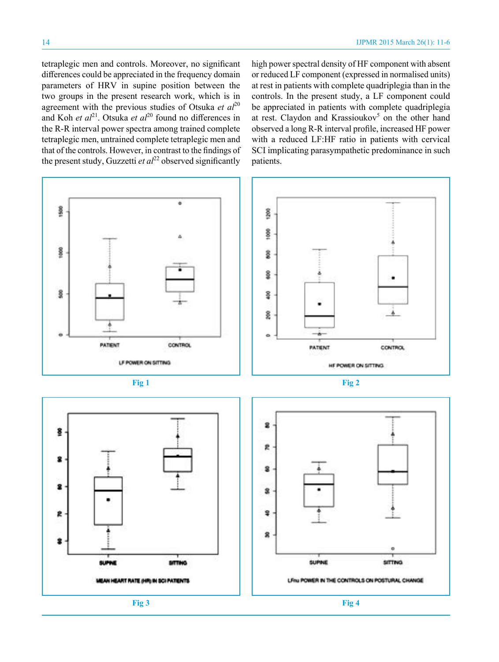tetraplegic men and controls. Moreover, no significant differences could be appreciated in the frequency domain parameters of HRV in supine position between the two groups in the present research work, which is in agreement with the previous studies of Otsuka *et al*<sup>20</sup> and Koh *et al*<sup>21</sup>. Otsuka *et al*<sup>20</sup> found no differences in the R-R interval power spectra among trained complete tetraplegic men, untrained complete tetraplegic men and that of the controls. However, in contrast to the findings of the present study, Guzzetti *et al*<sup>22</sup> observed significantly

high power spectral density of HF component with absent or reduced LF component (expressed in normalised units) at rest in patients with complete quadriplegia than in the controls. In the present study, a LF component could be appreciated in patients with complete quadriplegia at rest. Claydon and Krassioukov<sup>5</sup> on the other hand observed a long R-R interval profile, increased HF power with a reduced LF:HF ratio in patients with cervical SCI implicating parasympathetic predominance in such patients.









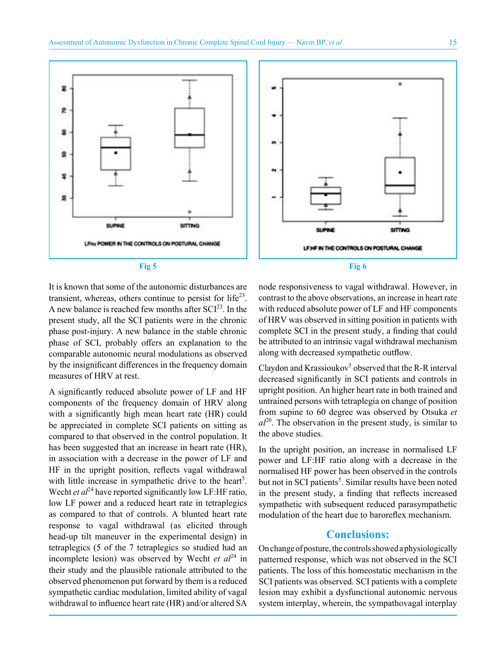

It is known that some of the autonomic disturbances are transient, whereas, others continue to persist for  $life^{23}$ . A new balance is reached few months after  $SCI<sup>23</sup>$ . In the present study, all the SCI patients were in the chronic phase post-injury. A new balance in the stable chronic phase of SCI, probably offers an explanation to the comparable autonomic neural modulations as observed by the insignificant differences in the frequency domain measures of HRV at rest.

A significantly reduced absolute power of LF and HF components of the frequency domain of HRV along with a significantly high mean heart rate (HR) could be appreciated in complete SCI patients on sitting as compared to that observed in the control population. It has been suggested that an increase in heart rate (HR), in association with a decrease in the power of LF and HF in the upright position, reflects vagal withdrawal with little increase in sympathetic drive to the heart<sup>5</sup>. Wecht *et al*<sup>24</sup> have reported significantly low LF:HF ratio, low LF power and a reduced heart rate in tetraplegics as compared to that of controls. A blunted heart rate response to vagal withdrawal (as elicited through head-up tilt maneuver in the experimental design) in tetraplegics (5 of the 7 tetraplegics so studied had an incomplete lesion) was observed by Wecht *et al*<sup>24</sup> in their study and the plausible rationale attributed to the observed phenomenon put forward by them is a reduced sympathetic cardiac modulation, limited ability of vagal withdrawal to influence heart rate (HR) and/or altered SA

node responsiveness to vagal withdrawal. However, in contrast to the above observations, an increase in heart rate with reduced absolute power of LF and HF components of HRV was observed in sitting position in patients with complete SCI in the present study, a finding that could be attributed to an intrinsic vagal withdrawal mechanism along with decreased sympathetic outflow.

Claydon and Krassioukov<sup>5</sup> observed that the R-R interval decreased significantly in SCI patients and controls in upright position. An higher heart rate in both trained and untrained persons with tetraplegia on change of position from supine to 60 degree was observed by Otsuka *et*   $al^{20}$ . The observation in the present study, is similar to the above studies.

In the upright position, an increase in normalised LF power and LF:HF ratio along with a decrease in the normalised HF power has been observed in the controls but not in SCI patients<sup>5</sup>. Similar results have been noted in the present study, a finding that reflects increased sympathetic with subsequent reduced parasympathetic modulation of the heart due to baroreflex mechanism.

#### **Conclusions:**

On change of posture, the controls showed a physiologically patterned response, which was not observed in the SCI patients. The loss of this homeostatic mechanism in the SCI patients was observed. SCI patients with a complete lesion may exhibit a dysfunctional autonomic nervous system interplay, wherein, the sympathovagal interplay